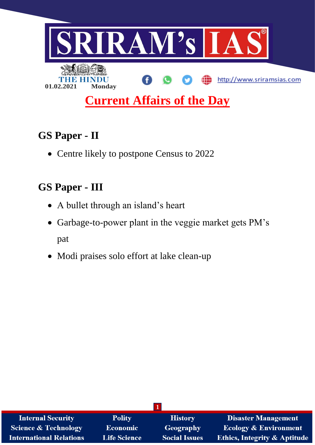

# **GS Paper - II**

• Centre likely to postpone Census to 2022

# **GS Paper - III**

- A bullet through an island's heart
- Garbage-to-power plant in the veggie market gets PM's pat
- Modi praises solo effort at lake clean-up

| <b>Internal Security</b>        | <b>Polity</b>       | <b>History</b>       | <b>Disaster Management</b>              |  |  |  |
|---------------------------------|---------------------|----------------------|-----------------------------------------|--|--|--|
| <b>Science &amp; Technology</b> | <b>Economic</b>     | <b>Geography</b>     | <b>Ecology &amp; Environment</b>        |  |  |  |
| <b>International Relations</b>  | <b>Life Science</b> | <b>Social Issues</b> | <b>Ethics, Integrity &amp; Aptitude</b> |  |  |  |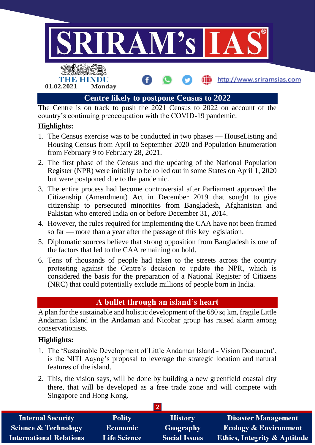

The Centre is on track to push the 2021 Census to 2022 on account of the country's continuing preoccupation with the COVID-19 pandemic.

## **Highlights:**

- 1. The Census exercise was to be conducted in two phases HouseListing and Housing Census from April to September 2020 and Population Enumeration from February 9 to February 28, 2021.
- 2. The first phase of the Census and the updating of the National Population Register (NPR) were initially to be rolled out in some States on April 1, 2020 but were postponed due to the pandemic.
- 3. The entire process had become controversial after Parliament approved the Citizenship (Amendment) Act in December 2019 that sought to give citizenship to persecuted minorities from Bangladesh, Afghanistan and Pakistan who entered India on or before December 31, 2014.
- 4. However, the rules required for implementing the CAA have not been framed so far — more than a year after the passage of this key legislation.
- 5. Diplomatic sources believe that strong opposition from Bangladesh is one of the factors that led to the CAA remaining on hold.
- 6. Tens of thousands of people had taken to the streets across the country protesting against the Centre's decision to update the NPR, which is considered the basis for the preparation of a National Register of Citizens (NRC) that could potentially exclude millions of people born in India.

## **A bullet through an island's heart**

A plan for the sustainable and holistic development of the 680 sq km, fragile Little Andaman Island in the Andaman and Nicobar group has raised alarm among conservationists.

### **Highlights:**

- 1. The 'Sustainable Development of Little Andaman Island Vision Document', is the NITI Aayog's proposal to leverage the strategic location and natural features of the island.
- 2. This, the vision says, will be done by building a new greenfield coastal city there, that will be developed as a free trade zone and will compete with Singapore and Hong Kong.

| <b>Internal Security</b>        | <b>Polity</b>       | <b>History</b>       | <b>Disaster Management</b>              |  |  |  |
|---------------------------------|---------------------|----------------------|-----------------------------------------|--|--|--|
| <b>Science &amp; Technology</b> | Economic            | Geography            | <b>Ecology &amp; Environment</b>        |  |  |  |
| <b>International Relations</b>  | <b>Life Science</b> | <b>Social Issues</b> | <b>Ethics, Integrity &amp; Aptitude</b> |  |  |  |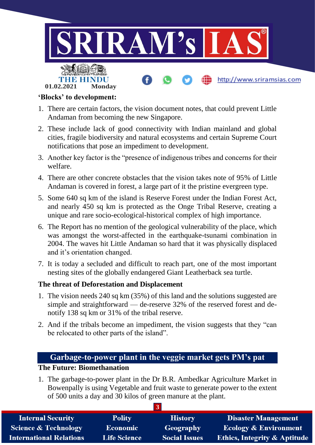

#### **'Blocks' to development:**

- 1. There are certain factors, the vision document notes, that could prevent Little Andaman from becoming the new Singapore.
- 2. These include lack of good connectivity with Indian mainland and global cities, fragile biodiversity and natural ecosystems and certain Supreme Court notifications that pose an impediment to development.
- 3. Another key factor is the "presence of indigenous tribes and concerns for their welfare.
- 4. There are other concrete obstacles that the vision takes note of 95% of Little Andaman is covered in forest, a large part of it the pristine evergreen type.
- 5. Some 640 sq km of the island is Reserve Forest under the Indian Forest Act, and nearly 450 sq km is protected as the Onge Tribal Reserve, creating a unique and rare socio-ecological-historical complex of high importance.
- 6. The Report has no mention of the geological vulnerability of the place, which was amongst the worst-affected in the earthquake-tsunami combination in 2004. The waves hit Little Andaman so hard that it was physically displaced and it's orientation changed.
- 7. It is today a secluded and difficult to reach part, one of the most important nesting sites of the globally endangered Giant Leatherback sea turtle.

### **The threat of Deforestation and Displacement**

- 1. The vision needs 240 sq km (35%) of this land and the solutions suggested are simple and straightforward — de-reserve 32% of the reserved forest and denotify 138 sq km or 31% of the tribal reserve.
- 2. And if the tribals become an impediment, the vision suggests that they "can be relocated to other parts of the island".

## **Garbage-to-power plant in the veggie market gets PM's pat**

#### **The Future: Biomethanation**

1. The garbage-to-power plant in the Dr B.R. Ambedkar Agriculture Market in Bowenpally is using Vegetable and fruit waste to generate power to the extent of 500 units a day and 30 kilos of green manure at the plant.

| <b>Internal Security</b>        | <b>Polity</b>       | <b>History</b>       | <b>Disaster Management</b>              |  |  |  |
|---------------------------------|---------------------|----------------------|-----------------------------------------|--|--|--|
| <b>Science &amp; Technology</b> | <b>Economic</b>     | <b>Geography</b>     | <b>Ecology &amp; Environment</b>        |  |  |  |
| <b>International Relations</b>  | <b>Life Science</b> | <b>Social Issues</b> | <b>Ethics, Integrity &amp; Aptitude</b> |  |  |  |